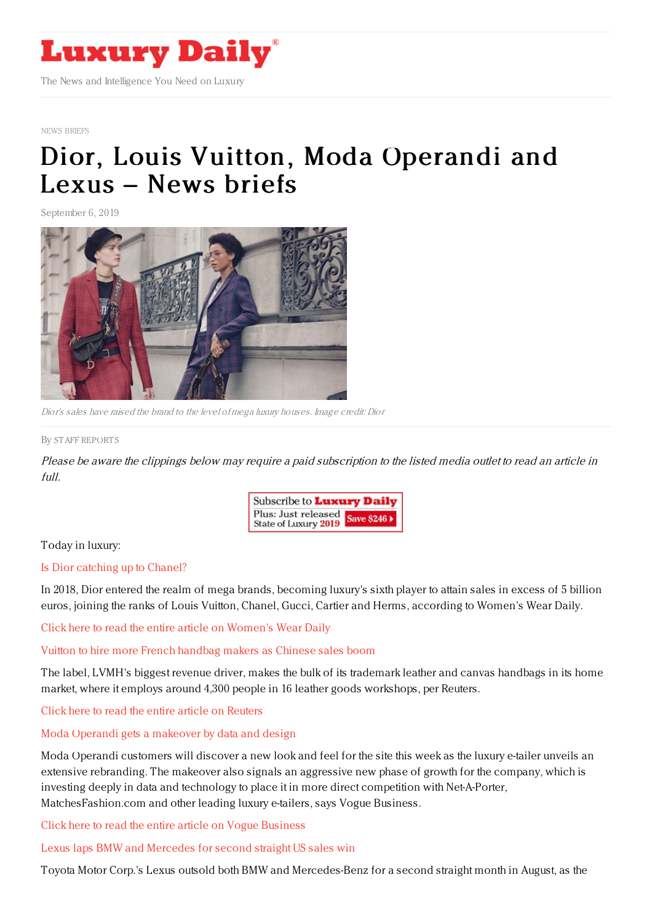

#### NEWS [BRIEFS](https://www.luxurydaily.com/category/resources/news-briefs)

# Dior, Louis Vuitton, Moda [Operandi](https://www.luxurydaily.com/dior-louis-vuitton-moda-operandi-and-lexus-news-briefs/) and Lexus – News briefs

September 6, 2019



Dior's sales have raised the brand to the level of mega luxury houses. Image credit: Dior

#### By STAFF [REPORT](file:///author/staff-reports) S

Please be aware the clippings below may require <sup>a</sup> paid subscription to the listed media outlet to read an article in full.



# Today in luxury:

## Is Dior [catching](https://wwd.com/business-news/financial/dior-profitability-catching-up-chanel-morgan-stanley-report-1203254137/) up to Chanel?

In 2018, Dior entered the realm of mega brands, becoming luxury's sixth player to attain sales in excess of 5 billion euros, joining the ranks of Louis Vuitton, Chanel, Gucci, Cartier and Herms, according to Women's Wear Daily.

Click here to read the entire article on [Women's](https://wwd.com/business-news/financial/dior-profitability-catching-up-chanel-morgan-stanley-report-1203254137/) Wear Daily

## Vuitton to hire more French [handbag](https://www.reuters.com/article/us-france-vuitton/vuitton-to-hire-more-french-handbag-makers-as-chinese-sales-boom-idUSKCN1VQ1T5) makers as Chinese sales boom

The label, LVMH's biggest revenue driver, makes the bulk of its trademark leather and canvas handbags in its home market, where it employs around 4,300 people in 16 leather goods workshops, per Reuters.

Click here to read the entire article on [Reuters](https://www.reuters.com/article/us-france-vuitton/vuitton-to-hire-more-french-handbag-makers-as-chinese-sales-boom-idUSKCN1VQ1T5)

# Moda Operandi gets a [makeover](https://www.voguebusiness.com/companies/moda-operandi-data-design-e-commerce) by data and design

Moda Operandi customers will discover a new look and feel for the site this week as the luxury e-tailer unveils an extensive rebranding. The makeover also signals an aggressive new phase of growth for the company, which is investing deeply in data and technology to place it in more direct competition with Net-A-Porter, MatchesFashion.com and other leading luxury e-tailers, says Vogue Business.

Click here to read the entire article on Vogue [Business](https://www.voguebusiness.com/companies/moda-operandi-data-design-e-commerce)

Lexus laps BMW and [Mercedes](https://www.bloomberg.com/news/articles/2019-09-04/lexus-laps-bmw-and-mercedes-for-second-straight-u-s-sales-win) for second straight US sales win

Toyota Motor Corp.'s Lexus outsold both BMW and Mercedes-Benz for a second straight month in August, as the